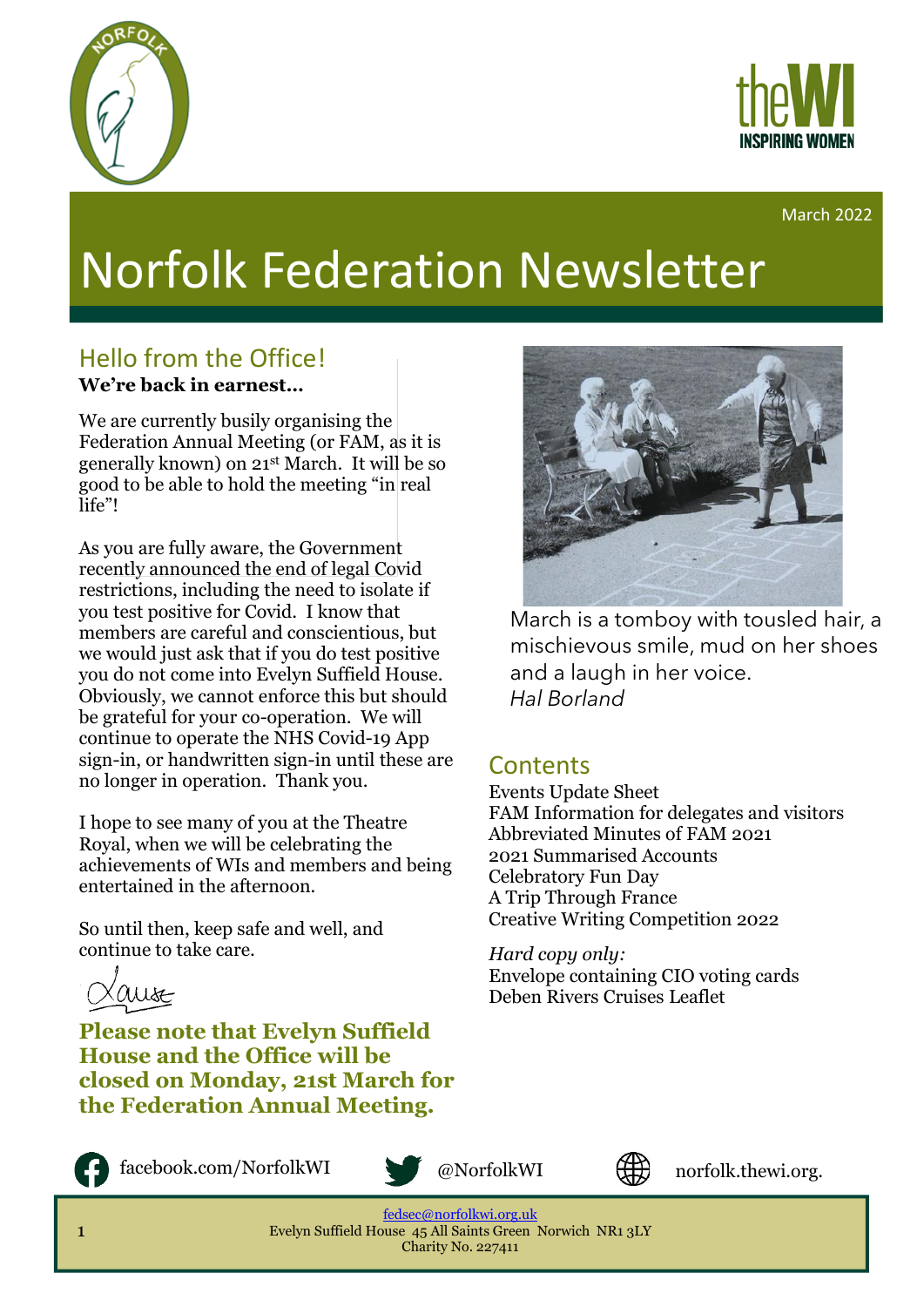



March 2022

# Norfolk Federation Newsletter

#### Hello from the Office! **We're back in earnest…**

We are currently busily organising the Federation Annual Meeting (or FAM, as it is generally known) on 21st March. It will be so good to be able to hold the meeting "in real life"!

As you are fully aware, the Government recently announced the end of legal Covid restrictions, including the need to isolate if you test positive for Covid. I know that members are careful and conscientious, but we would just ask that if you do test positive you do not come into Evelyn Suffield House. Obviously, we cannot enforce this but should be grateful for your co-operation. We will continue to operate the NHS Covid-19 App sign-in, or handwritten sign-in until these are no longer in operation. Thank you.

I hope to see many of you at the Theatre Royal, when we will be celebrating the achievements of WIs and members and being entertained in the afternoon.

So until then, keep safe and well, and continue to take care.



**Please note that Evelyn Suffield House and the Office will be closed on Monday, 21st March for the Federation Annual Meeting.**



facebook.com/NorfolkWI @NorfolkWI



uk

norfolk.thewi.org.

[fedsec@norfolkwi.org.uk](mailto:fedsec@norfolkwi.org.uk)  Evelyn Suffield House 45 All Saints Green Norwich NR1 3LY Charity No. 227411



March is a tomboy with tousled hair, a mischievous smile, mud on her shoes and a laugh in her voice. *Hal Borland*

#### **Contents**

Events Update Sheet FAM Information for delegates and visitors Abbreviated Minutes of FAM 2021 2021 Summarised Accounts Celebratory Fun Day A Trip Through France Creative Writing Competition 2022

*Hard copy only:* Envelope containing CIO voting cards Deben Rivers Cruises Leaflet